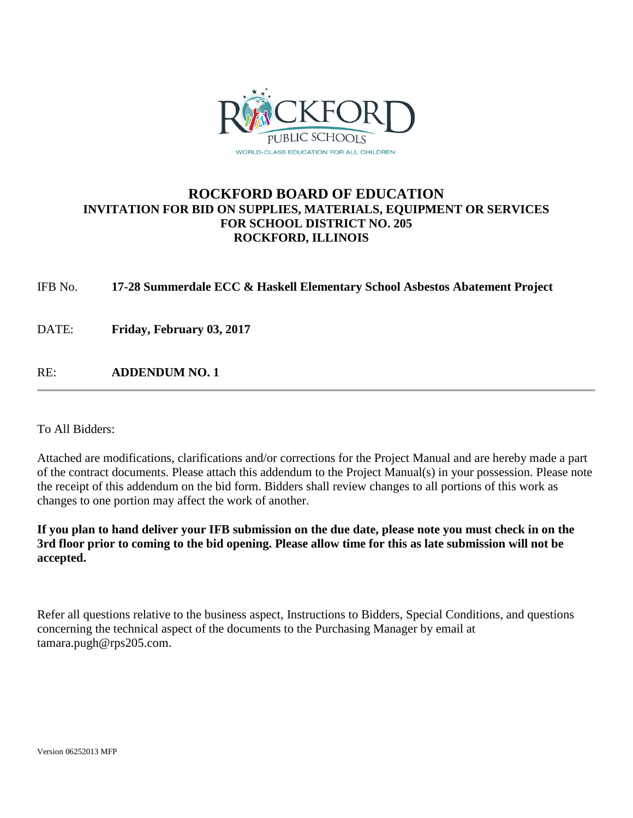

### **ROCKFORD BOARD OF EDUCATION INVITATION FOR BID ON SUPPLIES, MATERIALS, EQUIPMENT OR SERVICES FOR SCHOOL DISTRICT NO. 205 ROCKFORD, ILLINOIS**

IFB No. **17-28 Summerdale ECC & Haskell Elementary School Asbestos Abatement Project**

DATE: **Friday, February 03, 2017**

RE: **ADDENDUM NO. 1**

To All Bidders:

Attached are modifications, clarifications and/or corrections for the Project Manual and are hereby made a part of the contract documents. Please attach this addendum to the Project Manual(s) in your possession. Please note the receipt of this addendum on the bid form. Bidders shall review changes to all portions of this work as changes to one portion may affect the work of another.

**If you plan to hand deliver your IFB submission on the due date, please note you must check in on the 3rd floor prior to coming to the bid opening. Please allow time for this as late submission will not be accepted.**

Refer all questions relative to the business aspect, Instructions to Bidders, Special Conditions, and questions concerning the technical aspect of the documents to the Purchasing Manager by email at tamara.pugh@rps205.com.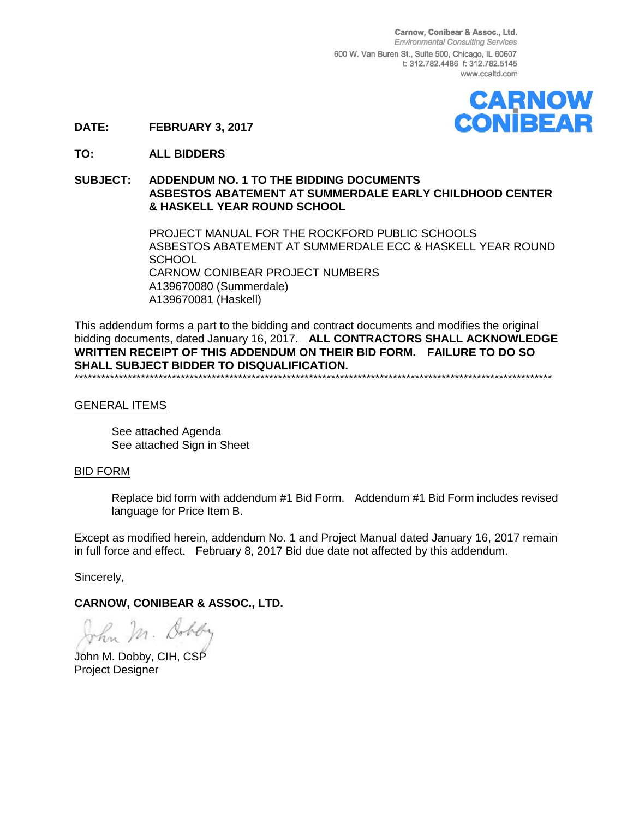Carnow, Conibear & Assoc., Ltd. **Environmental Consulting Services** 600 W. Van Buren St., Suite 500, Chicago, IL 60607 t: 312.782.4486 f: 312.782.5145 www.ccaltd.com



**DATE: FEBRUARY 3, 2017**

**TO: ALL BIDDERS**

#### **SUBJECT: ADDENDUM NO. 1 TO THE BIDDING DOCUMENTS ASBESTOS ABATEMENT AT SUMMERDALE EARLY CHILDHOOD CENTER & HASKELL YEAR ROUND SCHOOL**

PROJECT MANUAL FOR THE ROCKFORD PUBLIC SCHOOLS ASBESTOS ABATEMENT AT SUMMERDALE ECC & HASKELL YEAR ROUND SCHOOL CARNOW CONIBEAR PROJECT NUMBERS A139670080 (Summerdale) A139670081 (Haskell)

This addendum forms a part to the bidding and contract documents and modifies the original bidding documents, dated January 16, 2017. **ALL CONTRACTORS SHALL ACKNOWLEDGE WRITTEN RECEIPT OF THIS ADDENDUM ON THEIR BID FORM. FAILURE TO DO SO SHALL SUBJECT BIDDER TO DISQUALIFICATION.** \*\*\*\*\*\*\*\*\*\*\*\*\*\*\*\*\*\*\*\*\*\*\*\*\*\*\*\*\*\*\*\*\*\*\*\*\*\*\*\*\*\*\*\*\*\*\*\*\*\*\*\*\*\*\*\*\*\*\*\*\*\*\*\*\*\*\*\*\*\*\*\*\*\*\*\*\*\*\*\*\*\*\*\*\*\*\*\*\*\*\*\*\*\*\*\*\*\*\*\*\*\*\*\*\*\*\*\*

#### GENERAL ITEMS

See attached Agenda See attached Sign in Sheet

#### BID FORM

Replace bid form with addendum #1 Bid Form. Addendum #1 Bid Form includes revised language for Price Item B.

Except as modified herein, addendum No. 1 and Project Manual dated January 16, 2017 remain in full force and effect. February 8, 2017 Bid due date not affected by this addendum.

Sincerely,

#### **CARNOW, CONIBEAR & ASSOC., LTD.**

John Mr. Dobby

John M. Dobby, CIH, CSP Project Designer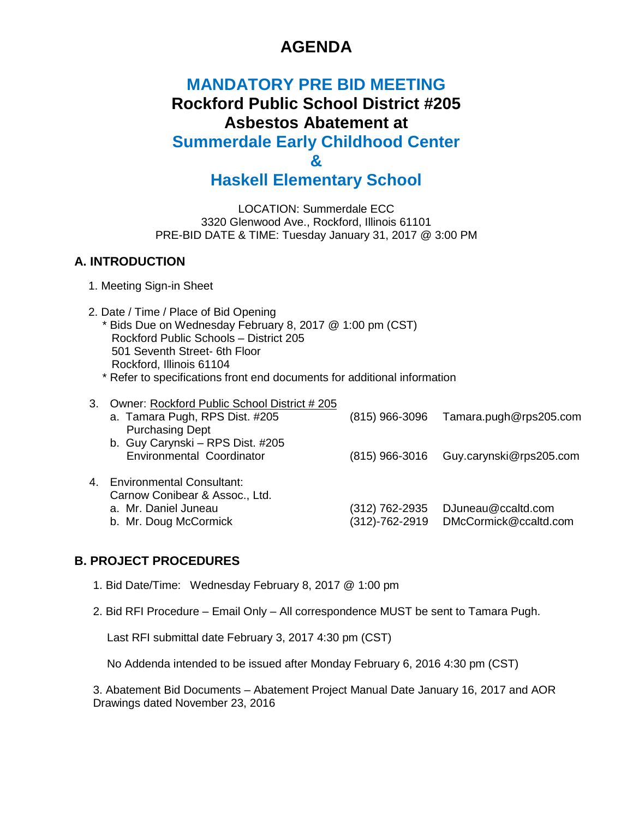# **AGENDA**

## **MANDATORY PRE BID MEETING Rockford Public School District #205 Asbestos Abatement at Summerdale Early Childhood Center &**

# **Haskell Elementary School**

LOCATION: Summerdale ECC 3320 Glenwood Ave., Rockford, Illinois 61101 PRE-BID DATE & TIME: Tuesday January 31, 2017 @ 3:00 PM

### **A. INTRODUCTION**

- 1. Meeting Sign-in Sheet
- 2. Date / Time / Place of Bid Opening \* Bids Due on Wednesday February 8, 2017 @ 1:00 pm (CST) Rockford Public Schools – District 205 501 Seventh Street- 6th Floor Rockford, Illinois 61104
	- \* Refer to specifications front end documents for additional information

| 3. Owner: Rockford Public School District # 205 |                  |                         |
|-------------------------------------------------|------------------|-------------------------|
| a. Tamara Pugh, RPS Dist. #205                  | $(815)$ 966-3096 | Tamara.pugh@rps205.com  |
| <b>Purchasing Dept</b>                          |                  |                         |
| b. Guy Carynski - RPS Dist. #205                |                  |                         |
| Environmental Coordinator                       | $(815)$ 966-3016 | Guy.carynski@rps205.com |
| 4. Environmental Consultant:                    |                  |                         |
| Carnow Conibear & Assoc., Ltd.                  |                  |                         |
| a. Mr. Daniel Juneau                            | (312) 762-2935   | DJuneau@ccaltd.com      |
| b. Mr. Doug McCormick                           | (312)-762-2919   | DMcCormick@ccaltd.com   |
|                                                 |                  |                         |

### **B. PROJECT PROCEDURES**

- 1. Bid Date/Time: Wednesday February 8, 2017 @ 1:00 pm
- 2. Bid RFI Procedure Email Only All correspondence MUST be sent to Tamara Pugh.

Last RFI submittal date February 3, 2017 4:30 pm (CST)

No Addenda intended to be issued after Monday February 6, 2016 4:30 pm (CST)

3. Abatement Bid Documents – Abatement Project Manual Date January 16, 2017 and AOR Drawings dated November 23, 2016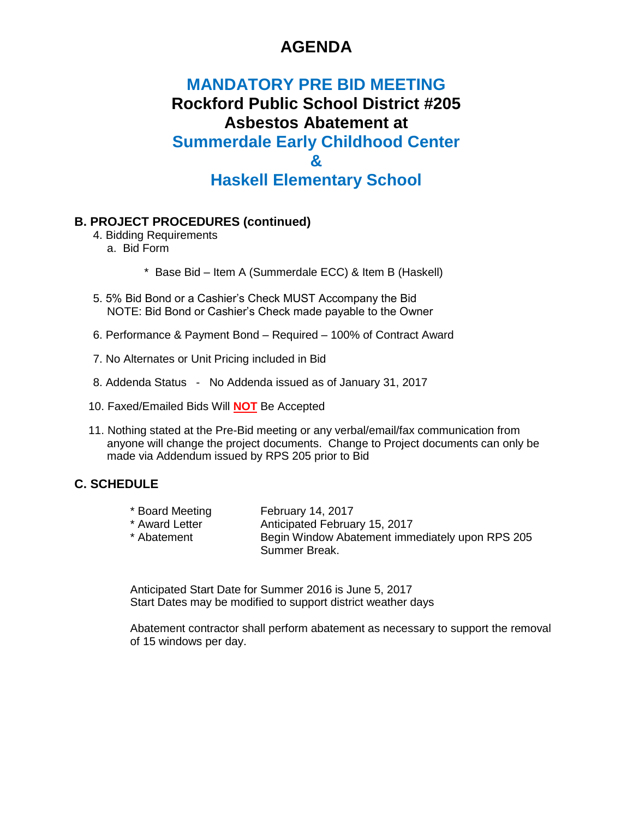## **AGENDA**

## **MANDATORY PRE BID MEETING Rockford Public School District #205 Asbestos Abatement at Summerdale Early Childhood Center & Haskell Elementary School**

#### **B. PROJECT PROCEDURES (continued)**

- 4. Bidding Requirements a. Bid Form
	- \* Base Bid Item A (Summerdale ECC) & Item B (Haskell)
- 5. 5% Bid Bond or a Cashier's Check MUST Accompany the Bid NOTE: Bid Bond or Cashier's Check made payable to the Owner
- 6. Performance & Payment Bond Required 100% of Contract Award
- 7. No Alternates or Unit Pricing included in Bid
- 8. Addenda Status No Addenda issued as of January 31, 2017
- 10. Faxed/Emailed Bids Will **NOT** Be Accepted
- 11. Nothing stated at the Pre-Bid meeting or any verbal/email/fax communication from anyone will change the project documents. Change to Project documents can only be made via Addendum issued by RPS 205 prior to Bid

#### **C. SCHEDULE**

| * Board Meeting | <b>February 14, 2017</b>                        |
|-----------------|-------------------------------------------------|
| * Award Letter  | Anticipated February 15, 2017                   |
| * Abatement     | Begin Window Abatement immediately upon RPS 205 |
|                 | Summer Break.                                   |

Anticipated Start Date for Summer 2016 is June 5, 2017 Start Dates may be modified to support district weather days

Abatement contractor shall perform abatement as necessary to support the removal of 15 windows per day.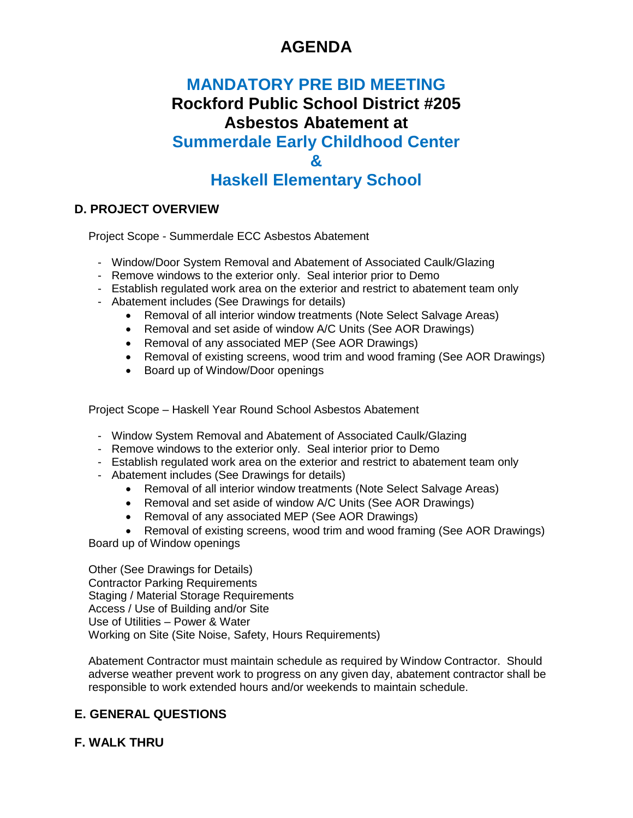# **AGENDA**

# **MANDATORY PRE BID MEETING Rockford Public School District #205 Asbestos Abatement at Summerdale Early Childhood Center & Haskell Elementary School**

### **D. PROJECT OVERVIEW**

Project Scope - Summerdale ECC Asbestos Abatement

- Window/Door System Removal and Abatement of Associated Caulk/Glazing
- Remove windows to the exterior only. Seal interior prior to Demo
- Establish regulated work area on the exterior and restrict to abatement team only
- Abatement includes (See Drawings for details)
	- Removal of all interior window treatments (Note Select Salvage Areas)
	- Removal and set aside of window A/C Units (See AOR Drawings)
	- Removal of any associated MEP (See AOR Drawings)
	- Removal of existing screens, wood trim and wood framing (See AOR Drawings)
	- Board up of Window/Door openings

Project Scope – Haskell Year Round School Asbestos Abatement

- Window System Removal and Abatement of Associated Caulk/Glazing
- Remove windows to the exterior only. Seal interior prior to Demo
- Establish regulated work area on the exterior and restrict to abatement team only
- Abatement includes (See Drawings for details)
	- Removal of all interior window treatments (Note Select Salvage Areas)
	- Removal and set aside of window A/C Units (See AOR Drawings)
	- Removal of any associated MEP (See AOR Drawings)

• Removal of existing screens, wood trim and wood framing (See AOR Drawings) Board up of Window openings

Other (See Drawings for Details) Contractor Parking Requirements Staging / Material Storage Requirements Access / Use of Building and/or Site Use of Utilities – Power & Water Working on Site (Site Noise, Safety, Hours Requirements)

Abatement Contractor must maintain schedule as required by Window Contractor. Should adverse weather prevent work to progress on any given day, abatement contractor shall be responsible to work extended hours and/or weekends to maintain schedule.

### **E. GENERAL QUESTIONS**

### **F. WALK THRU**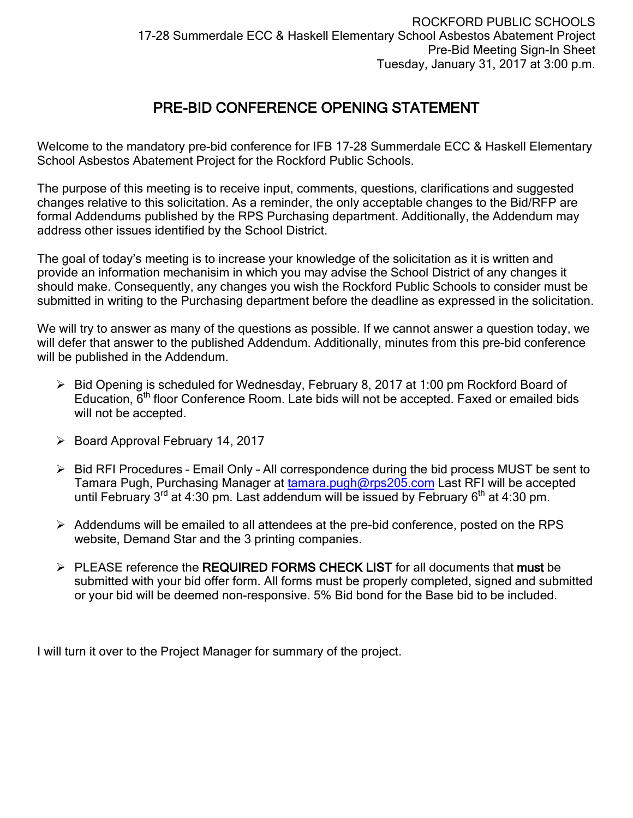### PRE-BID CONFERENCE OPENING STATEMENT

Welcome to the mandatory pre-bid conference for IFB 17-28 Summerdale ECC & Haskell Elementary School Asbestos Abatement Project for the Rockford Public Schools.

The purpose of this meeting is to receive input, comments, questions, clarifications and suggested changes relative to this solicitation. As a reminder, the only acceptable changes to the Bid/RFP are formal Addendums published by the RPS Purchasing department. Additionally, the Addendum may address other issues identified by the School District.

The goal of today's meeting is to increase your knowledge of the solicitation as it is written and provide an information mechanisim in which you may advise the School District of any changes it should make. Consequently, any changes you wish the Rockford Public Schools to consider must be submitted in writing to the Purchasing department before the deadline as expressed in the solicitation.

We will try to answer as many of the questions as possible. If we cannot answer a question today, we will defer that answer to the published Addendum. Additionally, minutes from this pre-bid conference will be published in the Addendum.

- $\triangleright$  Bid Opening is scheduled for Wednesday, February 8, 2017 at 1:00 pm Rockford Board of Education, 6th floor Conference Room. Late bids will not be accepted. Faxed or emailed bids will not be accepted.
- $\triangleright$  Board Approval February 14, 2017
- $\triangleright$  Bid RFI Procedures Email Only All correspondence during the bid process MUST be sent to Tamara Pugh, Purchasing Manager at [tamara.pugh@rps205.com](mailto:tamara.pugh@rps205.com) Last RFI will be accepted until February  $3^{rd}$  at 4:30 pm. Last addendum will be issued by February  $6^{th}$  at 4:30 pm.
- $\triangleright$  Addendums will be emailed to all attendees at the pre-bid conference, posted on the RPS website, Demand Star and the 3 printing companies.
- $\triangleright$  PLEASE reference the REQUIRED FORMS CHECK LIST for all documents that must be submitted with your bid offer form. All forms must be properly completed, signed and submitted or your bid will be deemed non-responsive. 5% Bid bond for the Base bid to be included.

I will turn it over to the Project Manager for summary of the project.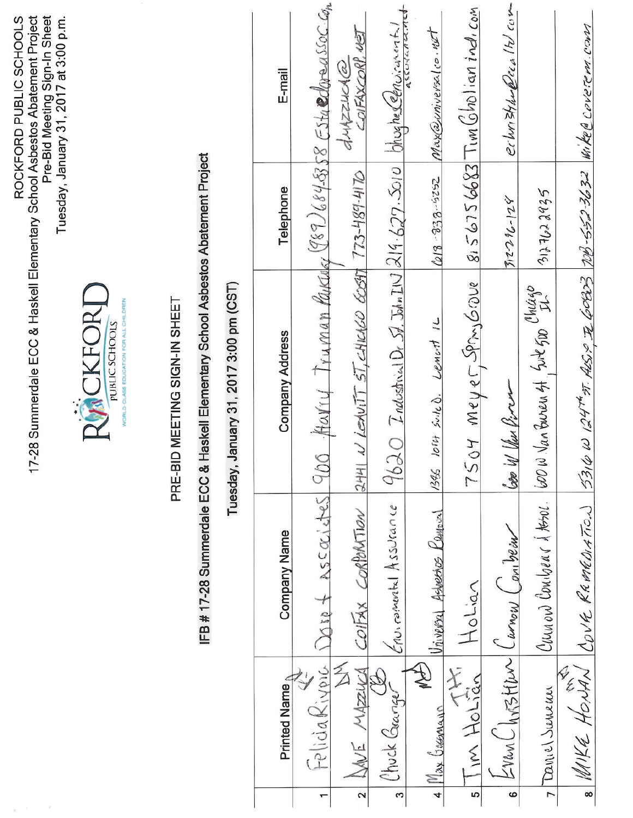| Pre-Bid Meeting Sign-In Sheet<br>Tuesday, January 31, 2017 at 3:00 p.m.<br>ROCKFORD PUBLIC SCHOOLS |                                                                      |                               |                                                      |                                            | E-mail              |                                                           | OIFAXCORP, VEI<br>dMZZHOA@                              |                                                                     | Maxazuniversalco.nd                      | $8156756683$ Tim Gholian indicom | echristianeeia It com      |                                   |                                                                |
|----------------------------------------------------------------------------------------------------|----------------------------------------------------------------------|-------------------------------|------------------------------------------------------|--------------------------------------------|---------------------|-----------------------------------------------------------|---------------------------------------------------------|---------------------------------------------------------------------|------------------------------------------|----------------------------------|----------------------------|-----------------------------------|----------------------------------------------------------------|
|                                                                                                    |                                                                      |                               |                                                      |                                            | Telephone           |                                                           | $773 - 489 - 4170$                                      |                                                                     | $2525 - 852$                             |                                  | $312286 - 128$             | 3127622925                        |                                                                |
| 17-28 Summerdale ECC & Haskell Elementary School Asbestos Abatement Project                        | RACKFORT<br>WORLD-OLASS EDUCATION FOR ALL CHILDREN<br>PUBLIC SCHOOLS | PRE-BID MEETING SIGN-IN SHEET | Haskell Elementary School Asbestos Abatement Project | January 31, 2017 3:00 pm (CST)<br>Tuesday, | Company Address     | 900 Haviy Truman Paraday (989) 684-585 Esta edgressoc con | $2441$ N LEAVITT ST, CHICAGO 60597                      | 9620 Industrial Dr St. John IN 219-627. Solo blughe Ceprovisionated | Lenort IL<br>$loif \n5\nth \ b.$<br>1345 | 7504 Meyer, Spin, Grove          | Coo W Ven Virra            | Chicago Suren 4, Sit 500 Chicago  | 5316 W 124th 51. ALS. 2 TOB3 78. 552.3632 Wike @ Coveren. Conn |
|                                                                                                    |                                                                      |                               | IFB # 17-28 Summerdale ECC &                         |                                            | <b>Company Name</b> | JOID + ASCOCILIES                                         | COIFAX CORPORTION                                       | Erwinometal Assurance                                               | Vinversal Asbesses Kennow                | Holian                           | Curnow Con Dear            | Cumon Combrar & teror.            | $_8$ WIKE HONAN COVE REMEDIATION                               |
|                                                                                                    |                                                                      |                               |                                                      |                                            | Printed Name        | PeliciaRivoic<br>$\mathbf{r}$                             | $\widetilde{\mathbb{Z}}$<br>WE MAZUCA<br>$\overline{a}$ | Chuck Gange<br>S                                                    | $\widehat{\mathbb{F}}$<br>4 Max Gagamun  | E<br>im Holian<br>ဖာ             | Erran Christian<br>$\circ$ | Demich Survenus<br>$\overline{r}$ |                                                                |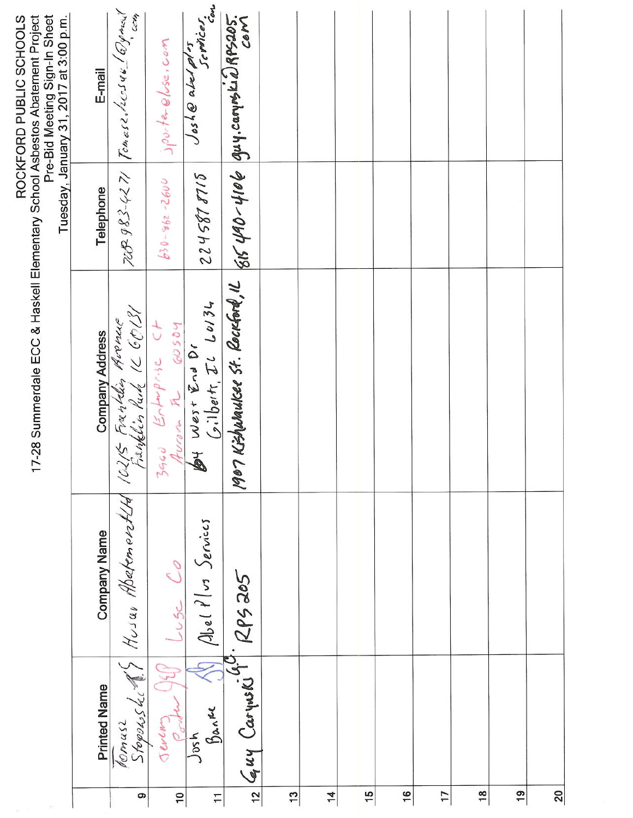|                 |                                   |                                         | 7-28 Summerdale ECC & Haskell Elementary School Asbestos Abatement Project                                                     |                    | Pre-Bid Meeting Sign-In Sheet<br>Tuesday, January 31, 2017 at 3:00 p.m.<br>ROCKFORD PUBLIC SCHOOLS |
|-----------------|-----------------------------------|-----------------------------------------|--------------------------------------------------------------------------------------------------------------------------------|--------------------|----------------------------------------------------------------------------------------------------|
|                 | <b>Printed Name</b>               | <b>Company Name</b>                     | <b>Company Address</b>                                                                                                         | Telephone          | E-mail                                                                                             |
| ၜ               |                                   | Komusz<br>Stopowskick? Husar Abatemont4 | 10215 Franklin Avenue<br>Franklin Purk IL GO131                                                                                |                    | 708 983-4271 Tomas2. 20544 1099 mail                                                               |
| $\overline{10}$ | $\mathbb{D}$<br>Jeven             | cos C <sub>o</sub>                      | $\begin{array}{lll}\n\text{3960} & \text{Echm}\rho\text{s.} & \text{C+} \\ \text{Area} & \text{R} & \text{60504}\n\end{array}$ | $630 - 862 - 2600$ | $j$ porter else. com                                                                               |
| $\mathbf{r}$    | $\frac{1}{2}$<br>Banke<br>$J$ osh | $\beta$ bel $\ell$ os Services          | Arrow R 60504<br>By West End Dr<br>Cilberts, Il Lor34                                                                          | 0118285722         | Josh@abelpl <sup>1</sup> st<br>Josh@abelpl <sup>1</sup> st<br>Cen                                  |
| 12              | $644$ Carywski 1.                 | Soc 502.                                | 1967 Kishwaukee St. Rockford, IL 815 490-4106 guy.carynskild RPS205.                                                           |                    |                                                                                                    |
| $\frac{1}{2}$   |                                   |                                         |                                                                                                                                |                    |                                                                                                    |
| $\overline{1}$  |                                   |                                         |                                                                                                                                |                    |                                                                                                    |
| 15              |                                   |                                         |                                                                                                                                |                    |                                                                                                    |
| 16              |                                   |                                         |                                                                                                                                |                    |                                                                                                    |
| 17              |                                   |                                         |                                                                                                                                |                    |                                                                                                    |
| $\frac{8}{2}$   |                                   |                                         |                                                                                                                                |                    |                                                                                                    |
| $\overline{9}$  |                                   |                                         |                                                                                                                                |                    |                                                                                                    |
| $\frac{20}{2}$  |                                   |                                         |                                                                                                                                |                    |                                                                                                    |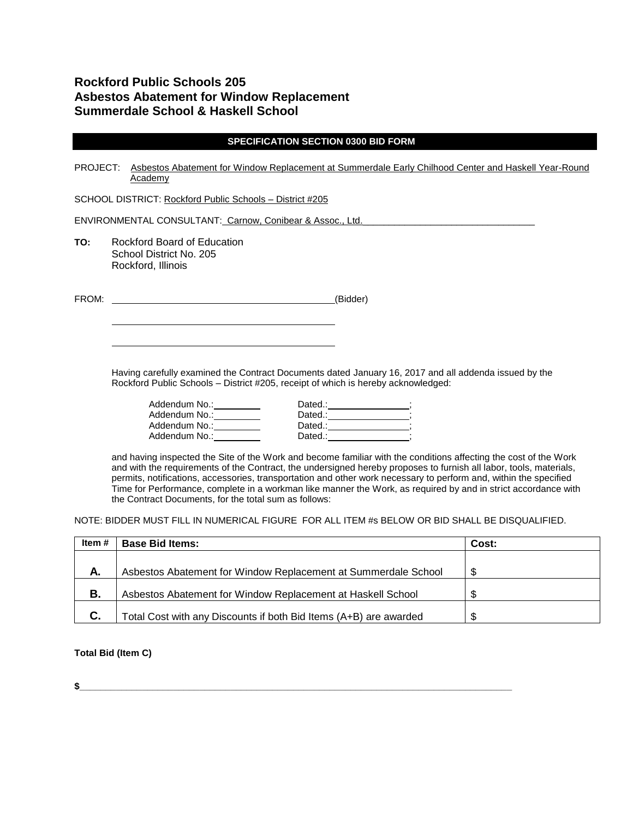### **Rockford Public Schools 205 Asbestos Abatement for Window Replacement Summerdale School & Haskell School**

|          | <b>SPECIFICATION SECTION 0300 BID FORM</b>                                                                                                                                                                                                                                                                                                                                                                                                                                                                                             |
|----------|----------------------------------------------------------------------------------------------------------------------------------------------------------------------------------------------------------------------------------------------------------------------------------------------------------------------------------------------------------------------------------------------------------------------------------------------------------------------------------------------------------------------------------------|
| PROJECT: | Asbestos Abatement for Window Replacement at Summerdale Early Chilhood Center and Haskell Year-Round<br>Academy                                                                                                                                                                                                                                                                                                                                                                                                                        |
|          | SCHOOL DISTRICT: Rockford Public Schools - District #205                                                                                                                                                                                                                                                                                                                                                                                                                                                                               |
|          | ENVIRONMENTAL CONSULTANT: Carnow, Conibear & Assoc., Ltd.                                                                                                                                                                                                                                                                                                                                                                                                                                                                              |
| TO:      | Rockford Board of Education<br>School District No. 205<br>Rockford, Illinois                                                                                                                                                                                                                                                                                                                                                                                                                                                           |
| FROM:    | <u> 1989 - Johann Barbara, martin amerikan basal da</u><br>(Bidder)                                                                                                                                                                                                                                                                                                                                                                                                                                                                    |
|          |                                                                                                                                                                                                                                                                                                                                                                                                                                                                                                                                        |
|          | Having carefully examined the Contract Documents dated January 16, 2017 and all addenda issued by the<br>Rockford Public Schools - District #205, receipt of which is hereby acknowledged:<br>Addendum No.: _________<br>Addendum No.: _________<br>Addendum No.: 1997                                                                                                                                                                                                                                                                 |
|          | and having inspected the Site of the Work and become familiar with the conditions affecting the cost of the Work<br>and with the requirements of the Contract, the undersigned hereby proposes to furnish all labor, tools, materials,<br>permits, notifications, accessories, transportation and other work necessary to perform and, within the specified<br>Time for Performance, complete in a workman like manner the Work, as required by and in strict accordance with<br>the Contract Documents, for the total sum as follows: |

NOTE: BIDDER MUST FILL IN NUMERICAL FIGURE FOR ALL ITEM #s BELOW OR BID SHALL BE DISQUALIFIED.

| Item # | <b>Base Bid Items:</b>                                            | Cost: |
|--------|-------------------------------------------------------------------|-------|
|        |                                                                   |       |
| Α.     | Asbestos Abatement for Window Replacement at Summerdale School    | \$.   |
| В.     | Asbestos Abatement for Window Replacement at Haskell School       | -S    |
| C.     | Total Cost with any Discounts if both Bid Items (A+B) are awarded | £.    |

#### **Total Bid (Item C)**

 $\frac{1}{2}$